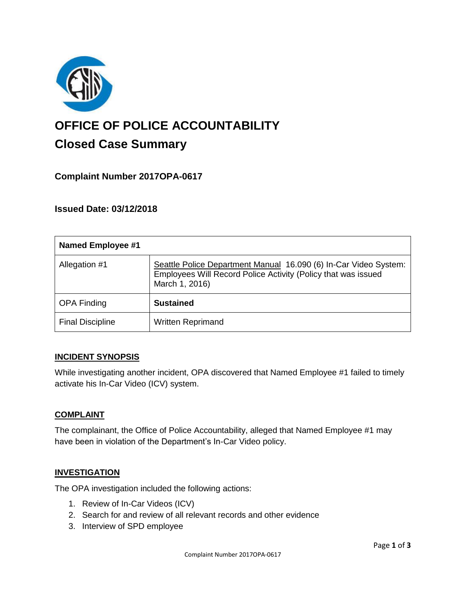

# **OFFICE OF POLICE ACCOUNTABILITY**

# **Closed Case Summary**

## **Complaint Number 2017OPA-0617**

## **Issued Date: 03/12/2018**

| <b>Named Employee #1</b> |                                                                                                                                                     |
|--------------------------|-----------------------------------------------------------------------------------------------------------------------------------------------------|
| Allegation #1            | Seattle Police Department Manual 16.090 (6) In-Car Video System:<br>Employees Will Record Police Activity (Policy that was issued<br>March 1, 2016) |
| <b>OPA Finding</b>       | <b>Sustained</b>                                                                                                                                    |
| <b>Final Discipline</b>  | <b>Written Reprimand</b>                                                                                                                            |

#### **INCIDENT SYNOPSIS**

While investigating another incident, OPA discovered that Named Employee #1 failed to timely activate his In-Car Video (ICV) system.

#### **COMPLAINT**

The complainant, the Office of Police Accountability, alleged that Named Employee #1 may have been in violation of the Department's In-Car Video policy.

#### **INVESTIGATION**

The OPA investigation included the following actions:

- 1. Review of In-Car Videos (ICV)
- 2. Search for and review of all relevant records and other evidence
- 3. Interview of SPD employee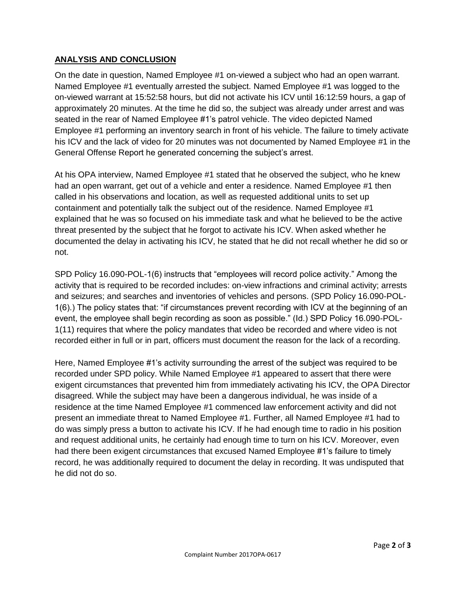#### **ANALYSIS AND CONCLUSION**

On the date in question, Named Employee #1 on-viewed a subject who had an open warrant. Named Employee #1 eventually arrested the subject. Named Employee #1 was logged to the on-viewed warrant at 15:52:58 hours, but did not activate his ICV until 16:12:59 hours, a gap of approximately 20 minutes. At the time he did so, the subject was already under arrest and was seated in the rear of Named Employee #1's patrol vehicle. The video depicted Named Employee #1 performing an inventory search in front of his vehicle. The failure to timely activate his ICV and the lack of video for 20 minutes was not documented by Named Employee #1 in the General Offense Report he generated concerning the subject's arrest.

At his OPA interview, Named Employee #1 stated that he observed the subject, who he knew had an open warrant, get out of a vehicle and enter a residence. Named Employee #1 then called in his observations and location, as well as requested additional units to set up containment and potentially talk the subject out of the residence. Named Employee #1 explained that he was so focused on his immediate task and what he believed to be the active threat presented by the subject that he forgot to activate his ICV. When asked whether he documented the delay in activating his ICV, he stated that he did not recall whether he did so or not.

SPD Policy 16.090-POL-1(6) instructs that "employees will record police activity." Among the activity that is required to be recorded includes: on-view infractions and criminal activity; arrests and seizures; and searches and inventories of vehicles and persons. (SPD Policy 16.090-POL-1(6).) The policy states that: "if circumstances prevent recording with ICV at the beginning of an event, the employee shall begin recording as soon as possible." (Id.) SPD Policy 16.090-POL-1(11) requires that where the policy mandates that video be recorded and where video is not recorded either in full or in part, officers must document the reason for the lack of a recording.

Here, Named Employee #1's activity surrounding the arrest of the subject was required to be recorded under SPD policy. While Named Employee #1 appeared to assert that there were exigent circumstances that prevented him from immediately activating his ICV, the OPA Director disagreed. While the subject may have been a dangerous individual, he was inside of a residence at the time Named Employee #1 commenced law enforcement activity and did not present an immediate threat to Named Employee #1. Further, all Named Employee #1 had to do was simply press a button to activate his ICV. If he had enough time to radio in his position and request additional units, he certainly had enough time to turn on his ICV. Moreover, even had there been exigent circumstances that excused Named Employee #1's failure to timely record, he was additionally required to document the delay in recording. It was undisputed that he did not do so.